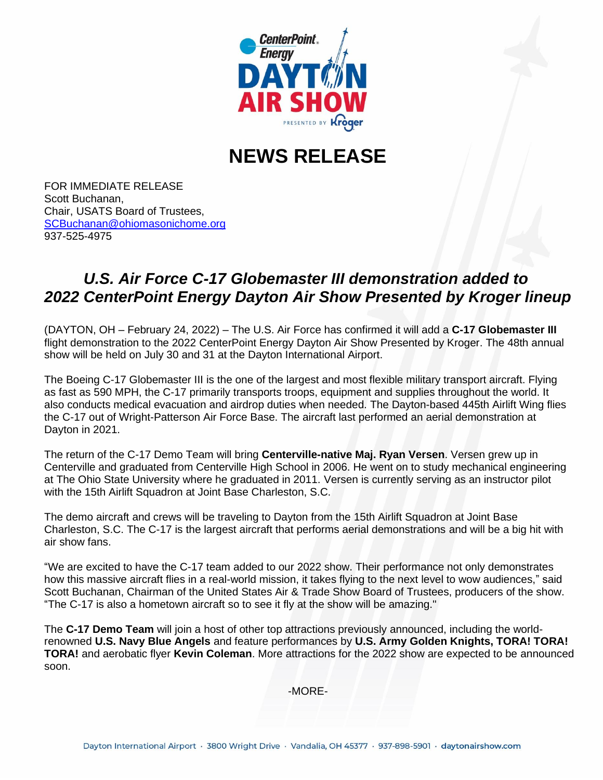

## **NEWS RELEASE**

FOR IMMEDIATE RELEASE Scott Buchanan, Chair, USATS Board of Trustees, [SCBuchanan@ohiomasonichome.org](about:blank) 937-525-4975

## *U.S. Air Force C-17 Globemaster III demonstration added to 2022 CenterPoint Energy Dayton Air Show Presented by Kroger lineup*

(DAYTON, OH – February 24, 2022) – The U.S. Air Force has confirmed it will add a **C-17 Globemaster III** flight demonstration to the 2022 CenterPoint Energy Dayton Air Show Presented by Kroger. The 48th annual show will be held on July 30 and 31 at the Dayton International Airport.

The Boeing C-17 Globemaster III is the one of the largest and most flexible military transport aircraft. Flying as fast as 590 MPH, the C-17 primarily transports troops, equipment and supplies throughout the world. It also conducts medical evacuation and airdrop duties when needed. The Dayton-based 445th Airlift Wing flies the C-17 out of Wright-Patterson Air Force Base. The aircraft last performed an aerial demonstration at Dayton in 2021.

The return of the C-17 Demo Team will bring **Centerville-native Maj. Ryan Versen**. Versen grew up in Centerville and graduated from Centerville High School in 2006. He went on to study mechanical engineering at The Ohio State University where he graduated in 2011. Versen is currently serving as an instructor pilot with the 15th Airlift Squadron at Joint Base Charleston, S.C.

The demo aircraft and crews will be traveling to Dayton from the 15th Airlift Squadron at Joint Base Charleston, S.C. The C-17 is the largest aircraft that performs aerial demonstrations and will be a big hit with air show fans.

"We are excited to have the C-17 team added to our 2022 show. Their performance not only demonstrates how this massive aircraft flies in a real-world mission, it takes flying to the next level to wow audiences," said Scott Buchanan, Chairman of the United States Air & Trade Show Board of Trustees, producers of the show. "The C-17 is also a hometown aircraft so to see it fly at the show will be amazing."

The **C-17 Demo Team** will join a host of other top attractions previously announced, including the worldrenowned **U.S. Navy Blue Angels** and feature performances by **U.S. Army Golden Knights, TORA! TORA! TORA!** and aerobatic flyer **Kevin Coleman**. More attractions for the 2022 show are expected to be announced soon.

-MORE-